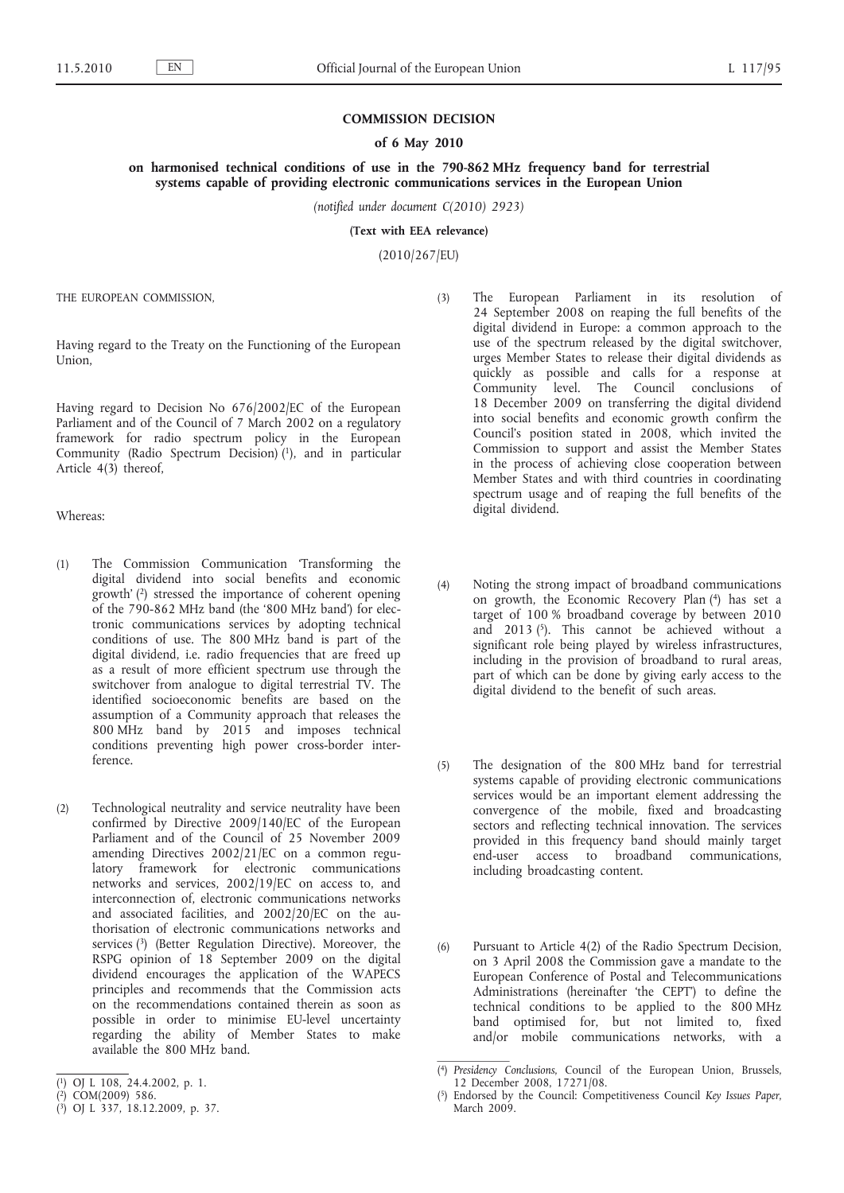## **COMMISSION DECISION**

## **of 6 May 2010**

**on harmonised technical conditions of use in the 790-862 MHz frequency band for terrestrial systems capable of providing electronic communications services in the European Union**

*(notified under document C(2010) 2923)*

**(Text with EEA relevance)**

(2010/267/EU)

THE EUROPEAN COMMISSION,

Having regard to the Treaty on the Functioning of the European Union,

Having regard to Decision No 676/2002/EC of the European Parliament and of the Council of 7 March 2002 on a regulatory framework for radio spectrum policy in the European Community (Radio Spectrum Decision) (1), and in particular Article 4(3) thereof,

Whereas:

- (1) The Commission Communication 'Transforming the digital dividend into social benefits and economic growth' (2) stressed the importance of coherent opening of the 790-862 MHz band (the '800 MHz band') for electronic communications services by adopting technical conditions of use. The 800 MHz band is part of the digital dividend, i.e. radio frequencies that are freed up as a result of more efficient spectrum use through the switchover from analogue to digital terrestrial TV. The identified socioeconomic benefits are based on the assumption of a Community approach that releases the 800 MHz band by 2015 and imposes technical conditions preventing high power cross-border interference.
- (2) Technological neutrality and service neutrality have been confirmed by Directive 2009/140/EC of the European Parliament and of the Council of 25 November 2009 amending Directives 2002/21/EC on a common regulatory framework for electronic communications networks and services, 2002/19/EC on access to, and interconnection of, electronic communications networks and associated facilities, and 2002/20/EC on the authorisation of electronic communications networks and services (3) (Better Regulation Directive). Moreover, the RSPG opinion of 18 September 2009 on the digital dividend encourages the application of the WAPECS principles and recommends that the Commission acts on the recommendations contained therein as soon as possible in order to minimise EU-level uncertainty regarding the ability of Member States to make available the 800 MHz band.
- (3) The European Parliament in its resolution of 24 September 2008 on reaping the full benefits of the digital dividend in Europe: a common approach to the use of the spectrum released by the digital switchover, urges Member States to release their digital dividends as quickly as possible and calls for a response at Community level. The Council conclusions of 18 December 2009 on transferring the digital dividend into social benefits and economic growth confirm the Council's position stated in 2008, which invited the Commission to support and assist the Member States in the process of achieving close cooperation between Member States and with third countries in coordinating spectrum usage and of reaping the full benefits of the digital dividend.
- (4) Noting the strong impact of broadband communications on growth, the Economic Recovery Plan (4) has set a target of 100 % broadband coverage by between 2010 and  $2013$  (5). This cannot be achieved without a significant role being played by wireless infrastructures, including in the provision of broadband to rural areas, part of which can be done by giving early access to the digital dividend to the benefit of such areas.
- (5) The designation of the 800 MHz band for terrestrial systems capable of providing electronic communications services would be an important element addressing the convergence of the mobile, fixed and broadcasting sectors and reflecting technical innovation. The services provided in this frequency band should mainly target end-user access to broadband communications, including broadcasting content.
- (6) Pursuant to Article 4(2) of the Radio Spectrum Decision, on 3 April 2008 the Commission gave a mandate to the European Conference of Postal and Telecommunications Administrations (hereinafter 'the CEPT') to define the technical conditions to be applied to the 800 MHz band optimised for, but not limited to, fixed and/or mobile communications networks, with a

<sup>(</sup> 1) OJ L 108, 24.4.2002, p. 1.

<sup>(</sup> 2) COM(2009) 586.

<sup>(</sup> 3) OJ L 337, 18.12.2009, p. 37.

<sup>(</sup> 4) *Presidency Conclusions*, Council of the European Union, Brussels, 12 December 2008, 17271/08.

<sup>(</sup> 5) Endorsed by the Council: Competitiveness Council *Key Issues Paper*, March 2009.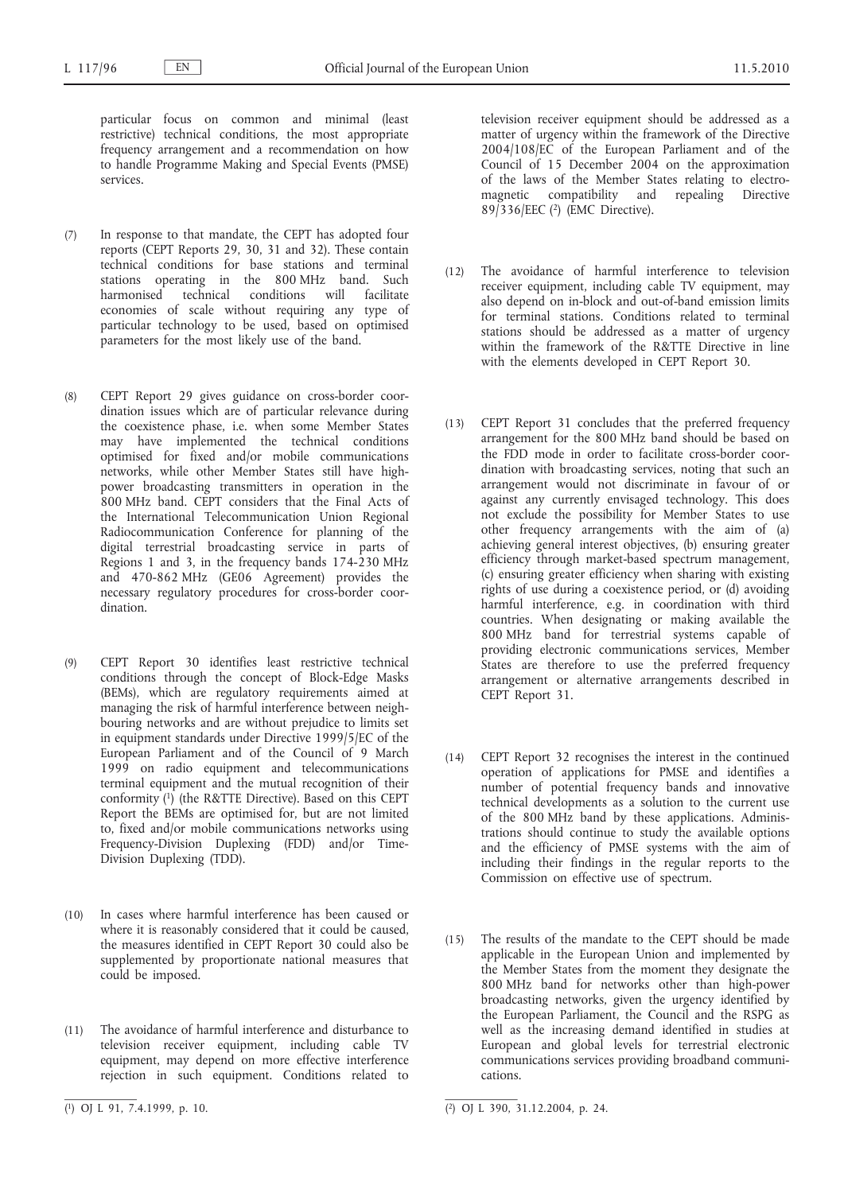particular focus on common and minimal (least restrictive) technical conditions, the most appropriate frequency arrangement and a recommendation on how to handle Programme Making and Special Events (PMSE) services.

- (7) In response to that mandate, the CEPT has adopted four reports (CEPT Reports 29, 30, 31 and 32). These contain technical conditions for base stations and terminal stations operating in the 800 MHz band. Such harmonised technical conditions will facilitate economies of scale without requiring any type of particular technology to be used, based on optimised parameters for the most likely use of the band.
- (8) CEPT Report 29 gives guidance on cross-border coordination issues which are of particular relevance during the coexistence phase, i.e. when some Member States may have implemented the technical conditions optimised for fixed and/or mobile communications networks, while other Member States still have highpower broadcasting transmitters in operation in the 800 MHz band. CEPT considers that the Final Acts of the International Telecommunication Union Regional Radiocommunication Conference for planning of the digital terrestrial broadcasting service in parts of Regions 1 and 3, in the frequency bands 174-230 MHz and 470-862 MHz (GE06 Agreement) provides the necessary regulatory procedures for cross-border coordination.
- (9) CEPT Report 30 identifies least restrictive technical conditions through the concept of Block-Edge Masks (BEMs), which are regulatory requirements aimed at managing the risk of harmful interference between neighbouring networks and are without prejudice to limits set in equipment standards under Directive 1999/5/EC of the European Parliament and of the Council of 9 March 1999 on radio equipment and telecommunications terminal equipment and the mutual recognition of their conformity (1) (the R&TTE Directive). Based on this CEPT Report the BEMs are optimised for, but are not limited to, fixed and/or mobile communications networks using Frequency-Division Duplexing (FDD) and/or Time-Division Duplexing (TDD).
- (10) In cases where harmful interference has been caused or where it is reasonably considered that it could be caused, the measures identified in CEPT Report 30 could also be supplemented by proportionate national measures that could be imposed.
- (11) The avoidance of harmful interference and disturbance to television receiver equipment, including cable TV equipment, may depend on more effective interference rejection in such equipment. Conditions related to

television receiver equipment should be addressed as a matter of urgency within the framework of the Directive 2004/108/EC of the European Parliament and of the Council of 15 December 2004 on the approximation of the laws of the Member States relating to electromagnetic compatibility and repealing Directive 89/336/EEC (2) (EMC Directive).

- (12) The avoidance of harmful interference to television receiver equipment, including cable TV equipment, may also depend on in-block and out-of-band emission limits for terminal stations. Conditions related to terminal stations should be addressed as a matter of urgency within the framework of the R&TTE Directive in line with the elements developed in CEPT Report 30.
- (13) CEPT Report 31 concludes that the preferred frequency arrangement for the 800 MHz band should be based on the FDD mode in order to facilitate cross-border coordination with broadcasting services, noting that such an arrangement would not discriminate in favour of or against any currently envisaged technology. This does not exclude the possibility for Member States to use other frequency arrangements with the aim of (a) achieving general interest objectives, (b) ensuring greater efficiency through market-based spectrum management, (c) ensuring greater efficiency when sharing with existing rights of use during a coexistence period, or (d) avoiding harmful interference, e.g. in coordination with third countries. When designating or making available the 800 MHz band for terrestrial systems capable of providing electronic communications services, Member States are therefore to use the preferred frequency arrangement or alternative arrangements described in CEPT Report 31.
- (14) CEPT Report 32 recognises the interest in the continued operation of applications for PMSE and identifies a number of potential frequency bands and innovative technical developments as a solution to the current use of the 800 MHz band by these applications. Administrations should continue to study the available options and the efficiency of PMSE systems with the aim of including their findings in the regular reports to the Commission on effective use of spectrum.
- (15) The results of the mandate to the CEPT should be made applicable in the European Union and implemented by the Member States from the moment they designate the 800 MHz band for networks other than high-power broadcasting networks, given the urgency identified by the European Parliament, the Council and the RSPG as well as the increasing demand identified in studies at European and global levels for terrestrial electronic communications services providing broadband communications.

 $(1)$  OJ L 91, 7.4.1999, p. 10.

 $\overline{(^2)}$  OJ L 390, 31.12.2004, p. 24.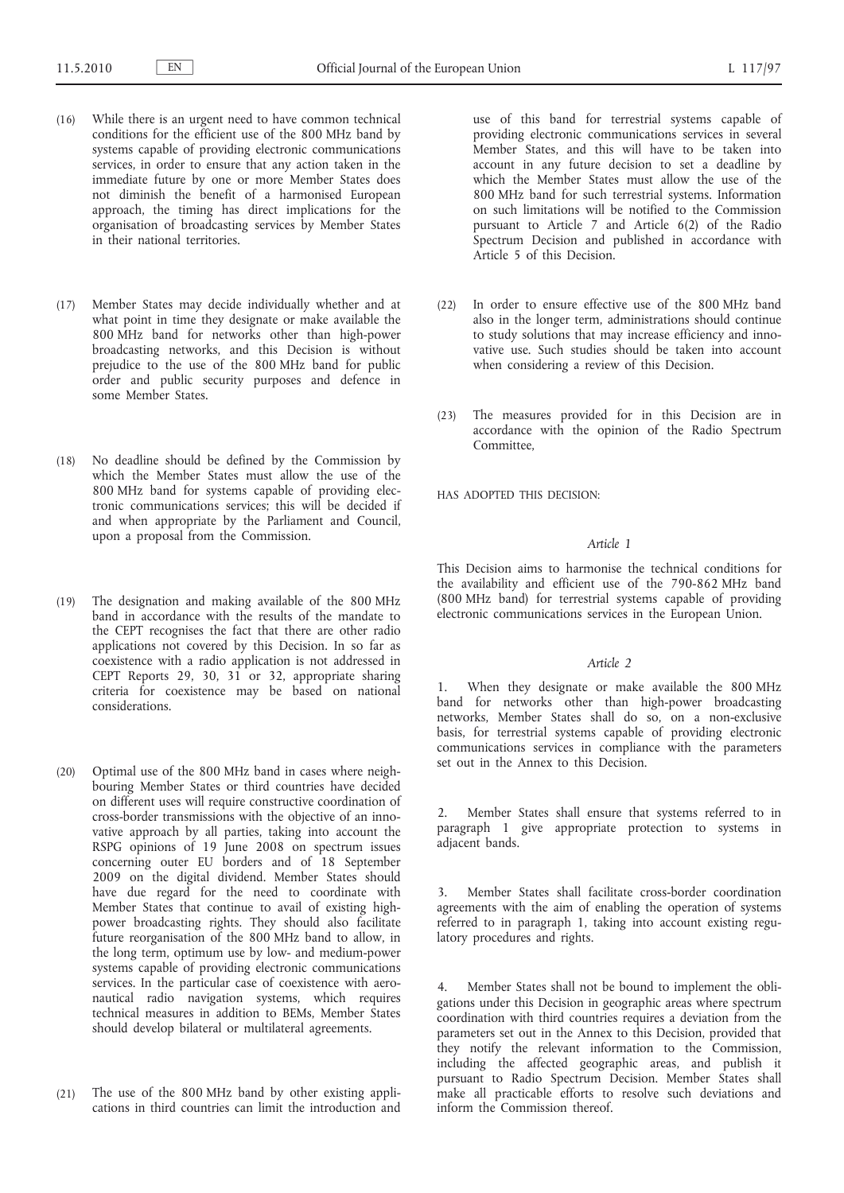- (16) While there is an urgent need to have common technical conditions for the efficient use of the 800 MHz band by systems capable of providing electronic communications services, in order to ensure that any action taken in the immediate future by one or more Member States does not diminish the benefit of a harmonised European approach, the timing has direct implications for the organisation of broadcasting services by Member States in their national territories.
- (17) Member States may decide individually whether and at what point in time they designate or make available the 800 MHz band for networks other than high-power broadcasting networks, and this Decision is without prejudice to the use of the 800 MHz band for public order and public security purposes and defence in some Member States.
- (18) No deadline should be defined by the Commission by which the Member States must allow the use of the 800 MHz band for systems capable of providing electronic communications services; this will be decided if and when appropriate by the Parliament and Council, upon a proposal from the Commission.
- (19) The designation and making available of the 800 MHz band in accordance with the results of the mandate to the CEPT recognises the fact that there are other radio applications not covered by this Decision. In so far as coexistence with a radio application is not addressed in CEPT Reports 29, 30, 31 or 32, appropriate sharing criteria for coexistence may be based on national considerations.
- (20) Optimal use of the 800 MHz band in cases where neighbouring Member States or third countries have decided on different uses will require constructive coordination of cross-border transmissions with the objective of an innovative approach by all parties, taking into account the RSPG opinions of 19 June 2008 on spectrum issues concerning outer EU borders and of 18 September 2009 on the digital dividend. Member States should have due regard for the need to coordinate with Member States that continue to avail of existing highpower broadcasting rights. They should also facilitate future reorganisation of the 800 MHz band to allow, in the long term, optimum use by low- and medium-power systems capable of providing electronic communications services. In the particular case of coexistence with aeronautical radio navigation systems, which requires technical measures in addition to BEMs, Member States should develop bilateral or multilateral agreements.
- (21) The use of the 800 MHz band by other existing applications in third countries can limit the introduction and

use of this band for terrestrial systems capable of providing electronic communications services in several Member States, and this will have to be taken into account in any future decision to set a deadline by which the Member States must allow the use of the 800 MHz band for such terrestrial systems. Information on such limitations will be notified to the Commission pursuant to Article 7 and Article 6(2) of the Radio Spectrum Decision and published in accordance with Article 5 of this Decision.

- (22) In order to ensure effective use of the 800 MHz band also in the longer term, administrations should continue to study solutions that may increase efficiency and innovative use. Such studies should be taken into account when considering a review of this Decision.
- (23) The measures provided for in this Decision are in accordance with the opinion of the Radio Spectrum Committee,

HAS ADOPTED THIS DECISION:

### *Article 1*

This Decision aims to harmonise the technical conditions for the availability and efficient use of the 790-862 MHz band (800 MHz band) for terrestrial systems capable of providing electronic communications services in the European Union.

#### *Article 2*

1. When they designate or make available the 800 MHz band for networks other than high-power broadcasting networks, Member States shall do so, on a non-exclusive basis, for terrestrial systems capable of providing electronic communications services in compliance with the parameters set out in the Annex to this Decision.

2. Member States shall ensure that systems referred to in paragraph 1 give appropriate protection to systems in adjacent bands.

3. Member States shall facilitate cross-border coordination agreements with the aim of enabling the operation of systems referred to in paragraph 1, taking into account existing regulatory procedures and rights.

4. Member States shall not be bound to implement the obligations under this Decision in geographic areas where spectrum coordination with third countries requires a deviation from the parameters set out in the Annex to this Decision, provided that they notify the relevant information to the Commission, including the affected geographic areas, and publish it pursuant to Radio Spectrum Decision. Member States shall make all practicable efforts to resolve such deviations and inform the Commission thereof.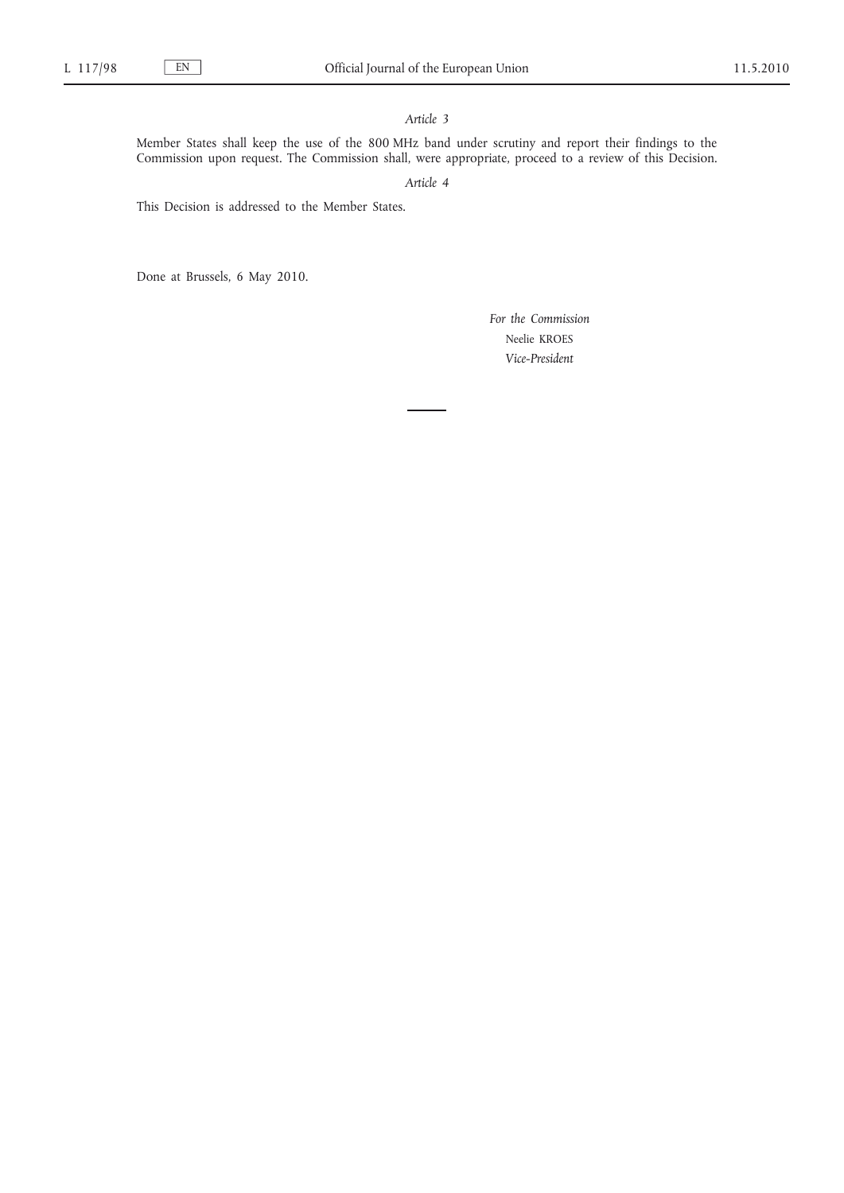# *Article 3*

Member States shall keep the use of the 800 MHz band under scrutiny and report their findings to the Commission upon request. The Commission shall, were appropriate, proceed to a review of this Decision.

# *Article 4*

This Decision is addressed to the Member States.

Done at Brussels, 6 May 2010.

*For the Commission* Neelie KROES *Vice-President*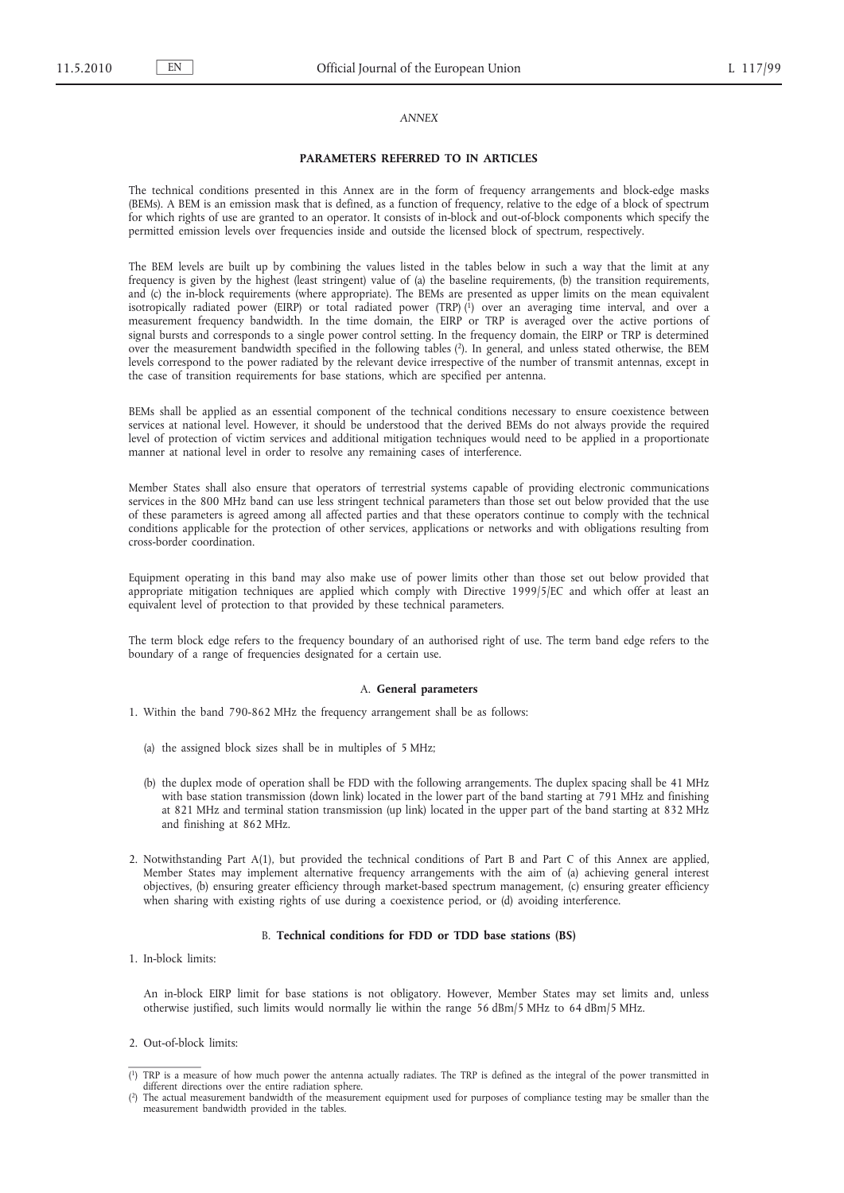#### *ANNEX*

#### **PARAMETERS REFERRED TO IN ARTICLES**

The technical conditions presented in this Annex are in the form of frequency arrangements and block-edge masks (BEMs). A BEM is an emission mask that is defined, as a function of frequency, relative to the edge of a block of spectrum for which rights of use are granted to an operator. It consists of in-block and out-of-block components which specify the permitted emission levels over frequencies inside and outside the licensed block of spectrum, respectively.

The BEM levels are built up by combining the values listed in the tables below in such a way that the limit at any frequency is given by the highest (least stringent) value of (a) the baseline requirements, (b) the transition requirements, and (c) the in-block requirements (where appropriate). The BEMs are presented as upper limits on the mean equivalent isotropically radiated power (EIRP) or total radiated power (TRP)  $\binom{1}{1}$  over an averaging time interval, and over a measurement frequency bandwidth. In the time domain, the EIRP or TRP is averaged over the active portions of signal bursts and corresponds to a single power control setting. In the frequency domain, the EIRP or TRP is determined over the measurement bandwidth specified in the following tables (2). In general, and unless stated otherwise, the BEM levels correspond to the power radiated by the relevant device irrespective of the number of transmit antennas, except in the case of transition requirements for base stations, which are specified per antenna.

BEMs shall be applied as an essential component of the technical conditions necessary to ensure coexistence between services at national level. However, it should be understood that the derived BEMs do not always provide the required level of protection of victim services and additional mitigation techniques would need to be applied in a proportionate manner at national level in order to resolve any remaining cases of interference.

Member States shall also ensure that operators of terrestrial systems capable of providing electronic communications services in the 800 MHz band can use less stringent technical parameters than those set out below provided that the use of these parameters is agreed among all affected parties and that these operators continue to comply with the technical conditions applicable for the protection of other services, applications or networks and with obligations resulting from cross-border coordination.

Equipment operating in this band may also make use of power limits other than those set out below provided that appropriate mitigation techniques are applied which comply with Directive 1999/5/EC and which offer at least an equivalent level of protection to that provided by these technical parameters.

The term block edge refers to the frequency boundary of an authorised right of use. The term band edge refers to the boundary of a range of frequencies designated for a certain use.

#### A. **General parameters**

- 1. Within the band 790-862 MHz the frequency arrangement shall be as follows:
	- (a) the assigned block sizes shall be in multiples of 5 MHz;
	- (b) the duplex mode of operation shall be FDD with the following arrangements. The duplex spacing shall be 41 MHz with base station transmission (down link) located in the lower part of the band starting at 791 MHz and finishing at 821 MHz and terminal station transmission (up link) located in the upper part of the band starting at 832 MHz and finishing at 862 MHz.
- 2. Notwithstanding Part A(1), but provided the technical conditions of Part B and Part C of this Annex are applied, Member States may implement alternative frequency arrangements with the aim of (a) achieving general interest objectives, (b) ensuring greater efficiency through market-based spectrum management, (c) ensuring greater efficiency when sharing with existing rights of use during a coexistence period, or (d) avoiding interference.

### B. **Technical conditions for FDD or TDD base stations (BS)**

1. In-block limits:

An in-block EIRP limit for base stations is not obligatory. However, Member States may set limits and, unless otherwise justified, such limits would normally lie within the range 56 dBm/5 MHz to 64 dBm/5 MHz.

2. Out-of-block limits:

<sup>(</sup> 1) TRP is a measure of how much power the antenna actually radiates. The TRP is defined as the integral of the power transmitted in different directions over the entire radiation sphere.

<sup>(</sup> 2) The actual measurement bandwidth of the measurement equipment used for purposes of compliance testing may be smaller than the measurement bandwidth provided in the tables.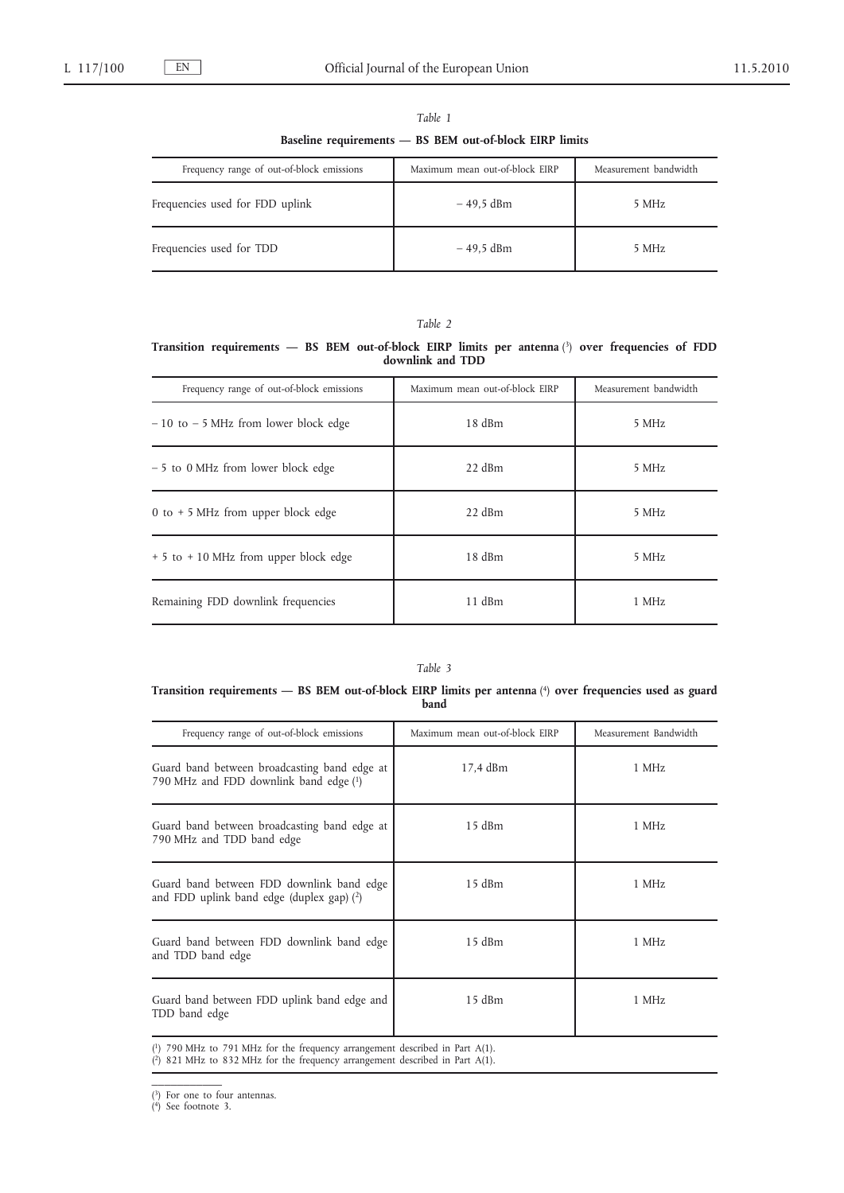|--|--|

**Baseline requirements — BS BEM out-of-block EIRP limits**

| Frequency range of out-of-block emissions | Maximum mean out-of-block EIRP | Measurement bandwidth |
|-------------------------------------------|--------------------------------|-----------------------|
| Frequencies used for FDD uplink           | – 49.5 dBm                     | 5 MHz                 |
| Frequencies used for TDD                  | – 49.5 dBm                     | 5 MHz                 |

## *Table 2*

**Transition requirements — BS BEM out-of-block EIRP limits per antenna** (3) **over frequencies of FDD downlink and TDD**

| Frequency range of out-of-block emissions | Maximum mean out-of-block EIRP | Measurement bandwidth |
|-------------------------------------------|--------------------------------|-----------------------|
| $-10$ to $-5$ MHz from lower block edge   | 18 dBm                         | 5 MHz                 |
| - 5 to 0 MHz from lower block edge        | $22$ dBm                       | 5 MHz                 |
| 0 to $+5$ MHz from upper block edge       | $22$ dBm                       | 5 MHz                 |
| + 5 to + 10 MHz from upper block edge     | 18dBm                          | 5 MHz                 |
| Remaining FDD downlink frequencies        | $11$ dBm                       | 1 MHz                 |

## *Table 3*

## **Transition requirements — BS BEM out-of-block EIRP limits per antenna** (4) **over frequencies used as guard band**

| Frequency range of out-of-block emissions                                                | Maximum mean out-of-block EIRP | Measurement Bandwidth |
|------------------------------------------------------------------------------------------|--------------------------------|-----------------------|
| Guard band between broadcasting band edge at<br>790 MHz and FDD downlink band edge (1)   | 17,4 dBm                       | 1 MHz                 |
| Guard band between broadcasting band edge at<br>790 MHz and TDD band edge                | 15 dBm                         | 1 MHz                 |
| Guard band between FDD downlink band edge<br>and FDD uplink band edge (duplex gap) $(2)$ | $15$ dBm                       | 1 MHz                 |
| Guard band between FDD downlink band edge<br>and TDD band edge                           | $15$ dBm                       | 1 MHz                 |
| Guard band between FDD uplink band edge and<br>TDD band edge                             | $15$ dBm                       | 1 MHz                 |
| $(1)$ 790 MHz to 791 MHz for the frequency arrangement described in Part A(1).           |                                |                       |

( 2) 821 MHz to 832 MHz for the frequency arrangement described in Part A(1).

 $\overline{\phantom{a}}$ 

<sup>(</sup> 3) For one to four antennas. ( 4) See footnote 3.